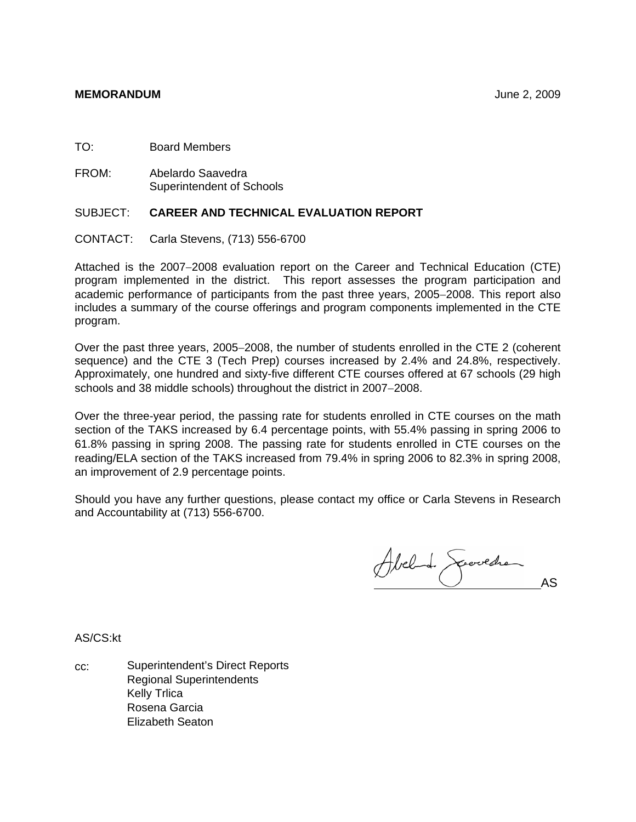TO: Board Members

FROM: Abelardo Saavedra Superintendent of Schools

# SUBJECT: **CAREER AND TECHNICAL EVALUATION REPORT**

CONTACT: Carla Stevens, (713) 556-6700

Attached is the 2007−2008 evaluation report on the Career and Technical Education (CTE) program implemented in the district. This report assesses the program participation and academic performance of participants from the past three years, 2005−2008. This report also includes a summary of the course offerings and program components implemented in the CTE program.

Over the past three years, 2005−2008, the number of students enrolled in the CTE 2 (coherent sequence) and the CTE 3 (Tech Prep) courses increased by 2.4% and 24.8%, respectively. Approximately, one hundred and sixty-five different CTE courses offered at 67 schools (29 high schools and 38 middle schools) throughout the district in 2007−2008.

Over the three-year period, the passing rate for students enrolled in CTE courses on the math section of the TAKS increased by 6.4 percentage points, with 55.4% passing in spring 2006 to 61.8% passing in spring 2008. The passing rate for students enrolled in CTE courses on the reading/ELA section of the TAKS increased from 79.4% in spring 2006 to 82.3% in spring 2008, an improvement of 2.9 percentage points.

Should you have any further questions, please contact my office or Carla Stevens in Research and Accountability at (713) 556-6700.

Abel de Servedre

AS/CS:kt

cc: Superintendent's Direct Reports Regional Superintendents Kelly Trlica Rosena Garcia Elizabeth Seaton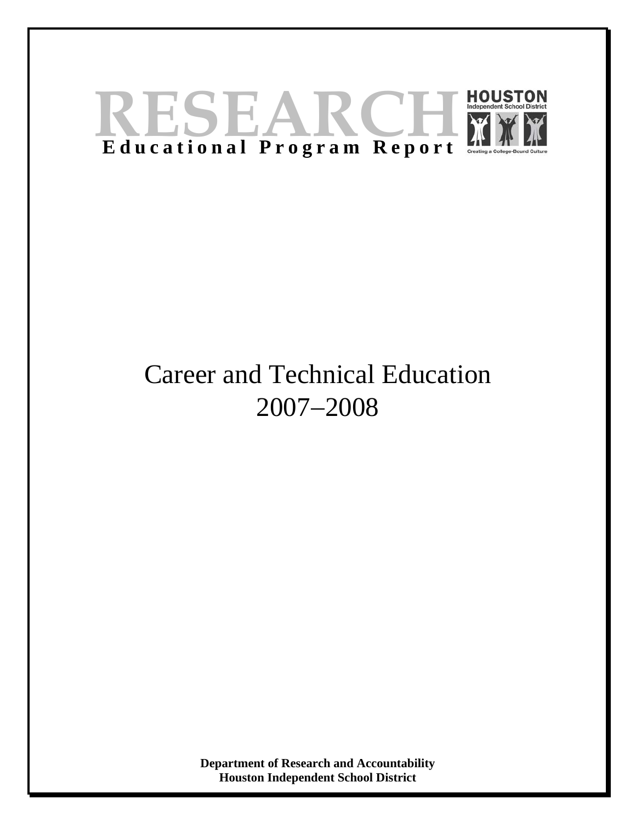

# Career and Technical Education 2007−2008

**Department of Research and Accountability Houston Independent School District**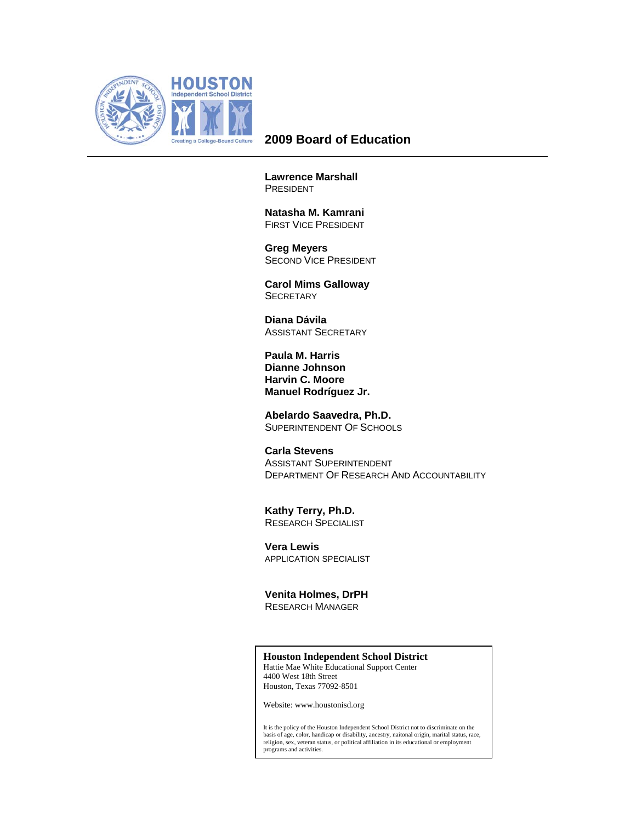

# **2009 Board of Education**

**Lawrence Marshall**  PRESIDENT

 **Natasha M. Kamrani**  FIRST VICE PRESIDENT

 **Greg Meyers**  SECOND VICE PRESIDENT

 **Carol Mims Galloway SECRETARY** 

 **Diana Dávila**  ASSISTANT SECRETARY

**Paula M. Harris Dianne Johnson Harvin C. Moore Manuel Rodríguez Jr.** 

 **Abelardo Saavedra, Ph.D.**  SUPERINTENDENT OF SCHOOLS

 **Carla Stevens**  ASSISTANT SUPERINTENDENT DEPARTMENT OF RESEARCH AND ACCOUNTABILITY

 **Kathy Terry, Ph.D.**  RESEARCH SPECIALIST

**Vera Lewis**  APPLICATION SPECIALIST

 **Venita Holmes, DrPH**  RESEARCH MANAGER

## **Houston Independent School District**

Hattie Mae White Educational Support Center 4400 West 18th Street Houston, Texas 77092-8501

Website: www.houstonisd.org

It is the policy of the Houston Independent School District not to discriminate on the<br>basis of age, color, handicap or disability, ancestry, naitonal origin, marital status, race,<br>religion, sex, veteran status, or politic programs and activities.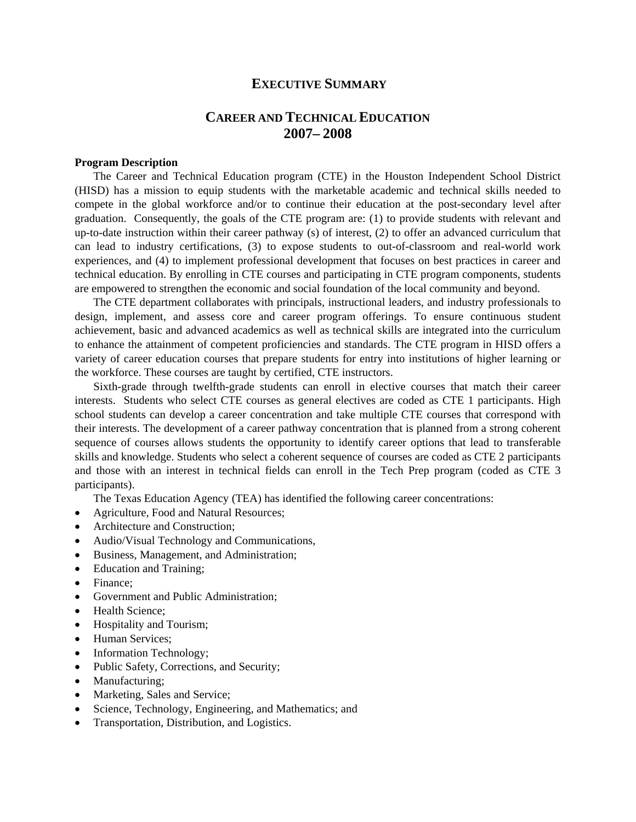# **EXECUTIVE SUMMARY**

# **CAREER AND TECHNICAL EDUCATION 2007– 2008**

# **Program Description**

The Career and Technical Education program (CTE) in the Houston Independent School District (HISD) has a mission to equip students with the marketable academic and technical skills needed to compete in the global workforce and/or to continue their education at the post-secondary level after graduation. Consequently, the goals of the CTE program are: (1) to provide students with relevant and up-to-date instruction within their career pathway (s) of interest, (2) to offer an advanced curriculum that can lead to industry certifications, (3) to expose students to out-of-classroom and real-world work experiences, and (4) to implement professional development that focuses on best practices in career and technical education. By enrolling in CTE courses and participating in CTE program components, students are empowered to strengthen the economic and social foundation of the local community and beyond.

The CTE department collaborates with principals, instructional leaders, and industry professionals to design, implement, and assess core and career program offerings. To ensure continuous student achievement, basic and advanced academics as well as technical skills are integrated into the curriculum to enhance the attainment of competent proficiencies and standards. The CTE program in HISD offers a variety of career education courses that prepare students for entry into institutions of higher learning or the workforce. These courses are taught by certified, CTE instructors.

Sixth-grade through twelfth-grade students can enroll in elective courses that match their career interests. Students who select CTE courses as general electives are coded as CTE 1 participants. High school students can develop a career concentration and take multiple CTE courses that correspond with their interests. The development of a career pathway concentration that is planned from a strong coherent sequence of courses allows students the opportunity to identify career options that lead to transferable skills and knowledge. Students who select a coherent sequence of courses are coded as CTE 2 participants and those with an interest in technical fields can enroll in the Tech Prep program (coded as CTE 3 participants).

The Texas Education Agency (TEA) has identified the following career concentrations:

- Agriculture, Food and Natural Resources;
- Architecture and Construction;
- Audio/Visual Technology and Communications,
- Business, Management, and Administration;
- Education and Training;
- Finance:
- Government and Public Administration;
- Health Science;
- Hospitality and Tourism;
- Human Services;
- Information Technology;
- Public Safety, Corrections, and Security;
- Manufacturing;
- Marketing, Sales and Service;
- Science, Technology, Engineering, and Mathematics; and
- Transportation, Distribution, and Logistics.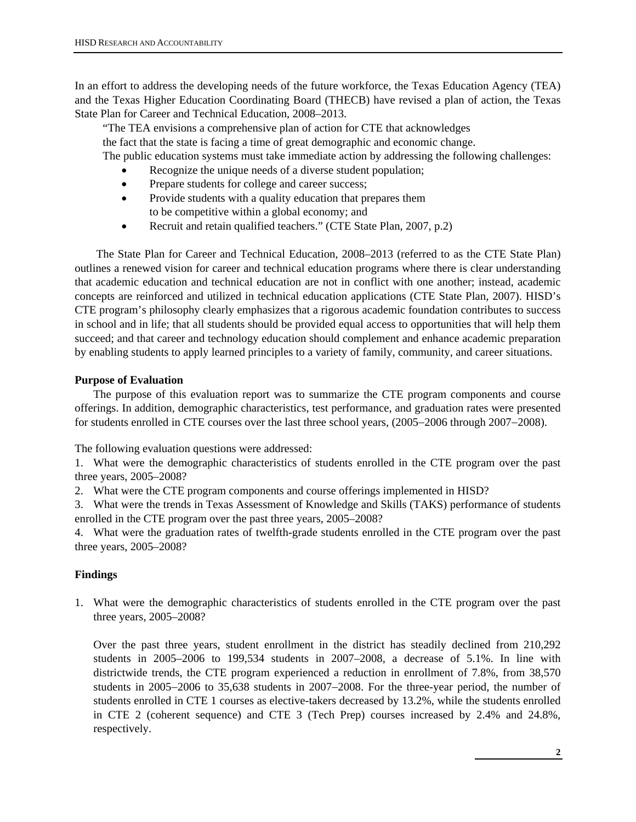In an effort to address the developing needs of the future workforce, the Texas Education Agency (TEA) and the Texas Higher Education Coordinating Board (THECB) have revised a plan of action, the Texas State Plan for Career and Technical Education, 2008–2013.

 "The TEA envisions a comprehensive plan of action for CTE that acknowledges the fact that the state is facing a time of great demographic and economic change. The public education systems must take immediate action by addressing the following challenges:

- Recognize the unique needs of a diverse student population;
- Prepare students for college and career success;
- Provide students with a quality education that prepares them to be competitive within a global economy; and
- Recruit and retain qualified teachers." (CTE State Plan, 2007, p.2)

 The State Plan for Career and Technical Education, 2008–2013 (referred to as the CTE State Plan) outlines a renewed vision for career and technical education programs where there is clear understanding that academic education and technical education are not in conflict with one another; instead, academic concepts are reinforced and utilized in technical education applications (CTE State Plan, 2007). HISD's CTE program's philosophy clearly emphasizes that a rigorous academic foundation contributes to success in school and in life; that all students should be provided equal access to opportunities that will help them succeed; and that career and technology education should complement and enhance academic preparation by enabling students to apply learned principles to a variety of family, community, and career situations.

# **Purpose of Evaluation**

The purpose of this evaluation report was to summarize the CTE program components and course offerings. In addition, demographic characteristics, test performance, and graduation rates were presented for students enrolled in CTE courses over the last three school years, (2005−2006 through 2007−2008).

The following evaluation questions were addressed:

1. What were the demographic characteristics of students enrolled in the CTE program over the past three years, 2005–2008?

2. What were the CTE program components and course offerings implemented in HISD?

3. What were the trends in Texas Assessment of Knowledge and Skills (TAKS) performance of students enrolled in the CTE program over the past three years, 2005–2008?

4. What were the graduation rates of twelfth-grade students enrolled in the CTE program over the past three years, 2005–2008?

# **Findings**

1. What were the demographic characteristics of students enrolled in the CTE program over the past three years, 2005–2008?

Over the past three years, student enrollment in the district has steadily declined from 210,292 students in 2005–2006 to 199,534 students in 2007–2008, a decrease of 5.1%. In line with districtwide trends, the CTE program experienced a reduction in enrollment of 7.8%, from 38,570 students in 2005−2006 to 35,638 students in 2007−2008. For the three-year period, the number of students enrolled in CTE 1 courses as elective-takers decreased by 13.2%, while the students enrolled in CTE 2 (coherent sequence) and CTE 3 (Tech Prep) courses increased by 2.4% and 24.8%, respectively.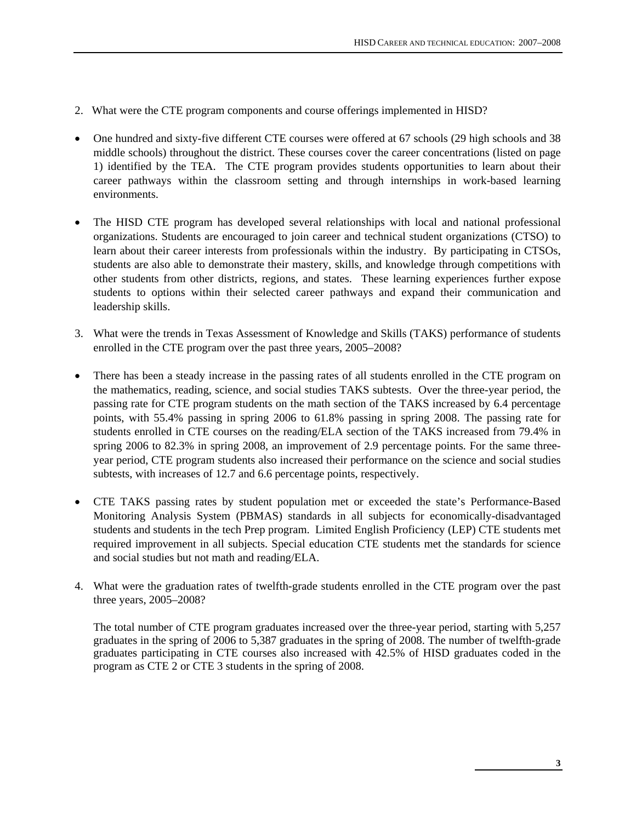- 2. What were the CTE program components and course offerings implemented in HISD?
- One hundred and sixty-five different CTE courses were offered at 67 schools (29 high schools and 38 middle schools) throughout the district. These courses cover the career concentrations (listed on page 1) identified by the TEA. The CTE program provides students opportunities to learn about their career pathways within the classroom setting and through internships in work-based learning environments.
- The HISD CTE program has developed several relationships with local and national professional organizations. Students are encouraged to join career and technical student organizations (CTSO) to learn about their career interests from professionals within the industry. By participating in CTSOs, students are also able to demonstrate their mastery, skills, and knowledge through competitions with other students from other districts, regions, and states. These learning experiences further expose students to options within their selected career pathways and expand their communication and leadership skills.
- 3. What were the trends in Texas Assessment of Knowledge and Skills (TAKS) performance of students enrolled in the CTE program over the past three years, 2005–2008?
- There has been a steady increase in the passing rates of all students enrolled in the CTE program on the mathematics, reading, science, and social studies TAKS subtests. Over the three-year period, the passing rate for CTE program students on the math section of the TAKS increased by 6.4 percentage points, with 55.4% passing in spring 2006 to 61.8% passing in spring 2008. The passing rate for students enrolled in CTE courses on the reading/ELA section of the TAKS increased from 79.4% in spring 2006 to 82.3% in spring 2008, an improvement of 2.9 percentage points. For the same threeyear period, CTE program students also increased their performance on the science and social studies subtests, with increases of 12.7 and 6.6 percentage points, respectively.
- CTE TAKS passing rates by student population met or exceeded the state's Performance-Based Monitoring Analysis System (PBMAS) standards in all subjects for economically-disadvantaged students and students in the tech Prep program. Limited English Proficiency (LEP) CTE students met required improvement in all subjects. Special education CTE students met the standards for science and social studies but not math and reading/ELA.
- 4. What were the graduation rates of twelfth-grade students enrolled in the CTE program over the past three years, 2005–2008?

The total number of CTE program graduates increased over the three-year period, starting with 5,257 graduates in the spring of 2006 to 5,387 graduates in the spring of 2008. The number of twelfth-grade graduates participating in CTE courses also increased with 42.5% of HISD graduates coded in the program as CTE 2 or CTE 3 students in the spring of 2008.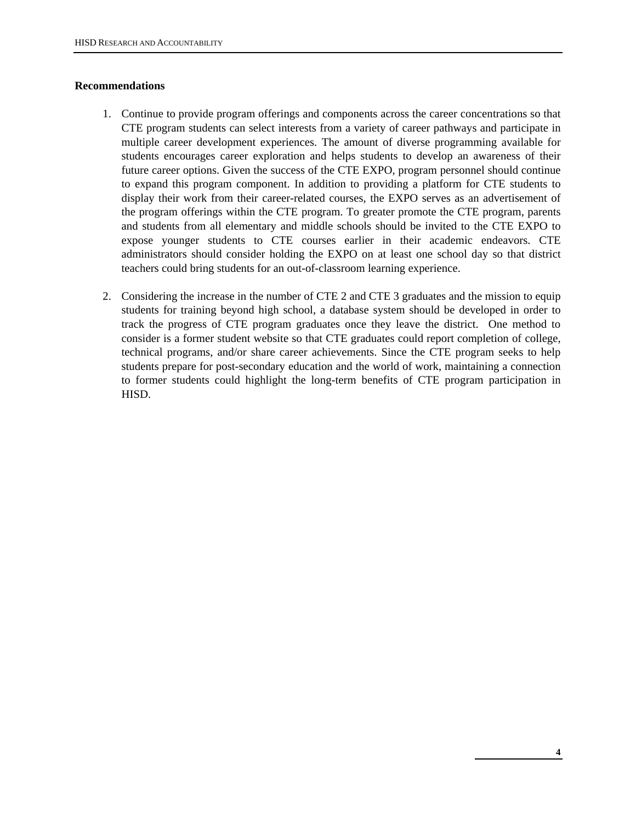# **Recommendations**

- 1. Continue to provide program offerings and components across the career concentrations so that CTE program students can select interests from a variety of career pathways and participate in multiple career development experiences. The amount of diverse programming available for students encourages career exploration and helps students to develop an awareness of their future career options. Given the success of the CTE EXPO, program personnel should continue to expand this program component. In addition to providing a platform for CTE students to display their work from their career-related courses, the EXPO serves as an advertisement of the program offerings within the CTE program. To greater promote the CTE program, parents and students from all elementary and middle schools should be invited to the CTE EXPO to expose younger students to CTE courses earlier in their academic endeavors. CTE administrators should consider holding the EXPO on at least one school day so that district teachers could bring students for an out-of-classroom learning experience.
- 2. Considering the increase in the number of CTE 2 and CTE 3 graduates and the mission to equip students for training beyond high school, a database system should be developed in order to track the progress of CTE program graduates once they leave the district. One method to consider is a former student website so that CTE graduates could report completion of college, technical programs, and/or share career achievements. Since the CTE program seeks to help students prepare for post-secondary education and the world of work, maintaining a connection to former students could highlight the long-term benefits of CTE program participation in HISD.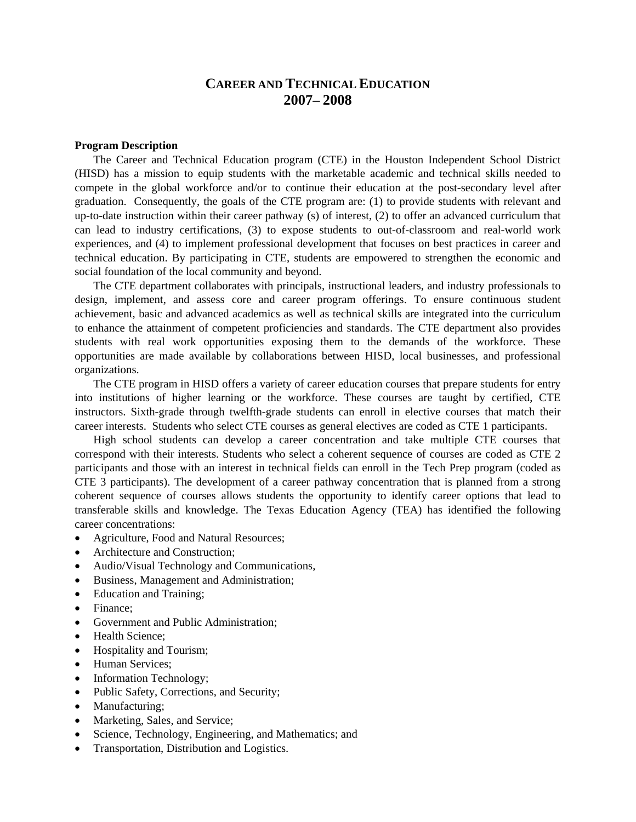# **CAREER AND TECHNICAL EDUCATION 2007– 2008**

## **Program Description**

The Career and Technical Education program (CTE) in the Houston Independent School District (HISD) has a mission to equip students with the marketable academic and technical skills needed to compete in the global workforce and/or to continue their education at the post-secondary level after graduation. Consequently, the goals of the CTE program are: (1) to provide students with relevant and up-to-date instruction within their career pathway (s) of interest, (2) to offer an advanced curriculum that can lead to industry certifications, (3) to expose students to out-of-classroom and real-world work experiences, and (4) to implement professional development that focuses on best practices in career and technical education. By participating in CTE, students are empowered to strengthen the economic and social foundation of the local community and beyond.

The CTE department collaborates with principals, instructional leaders, and industry professionals to design, implement, and assess core and career program offerings. To ensure continuous student achievement, basic and advanced academics as well as technical skills are integrated into the curriculum to enhance the attainment of competent proficiencies and standards. The CTE department also provides students with real work opportunities exposing them to the demands of the workforce. These opportunities are made available by collaborations between HISD, local businesses, and professional organizations.

The CTE program in HISD offers a variety of career education courses that prepare students for entry into institutions of higher learning or the workforce. These courses are taught by certified, CTE instructors. Sixth-grade through twelfth-grade students can enroll in elective courses that match their career interests. Students who select CTE courses as general electives are coded as CTE 1 participants.

High school students can develop a career concentration and take multiple CTE courses that correspond with their interests. Students who select a coherent sequence of courses are coded as CTE 2 participants and those with an interest in technical fields can enroll in the Tech Prep program (coded as CTE 3 participants). The development of a career pathway concentration that is planned from a strong coherent sequence of courses allows students the opportunity to identify career options that lead to transferable skills and knowledge. The Texas Education Agency (TEA) has identified the following career concentrations:

- Agriculture, Food and Natural Resources:
- Architecture and Construction:
- Audio/Visual Technology and Communications,
- Business, Management and Administration;
- Education and Training;
- Finance;
- Government and Public Administration;
- Health Science:
- Hospitality and Tourism;
- Human Services:
- Information Technology;
- Public Safety, Corrections, and Security;
- Manufacturing;
- Marketing, Sales, and Service;
- Science, Technology, Engineering, and Mathematics; and
- Transportation, Distribution and Logistics.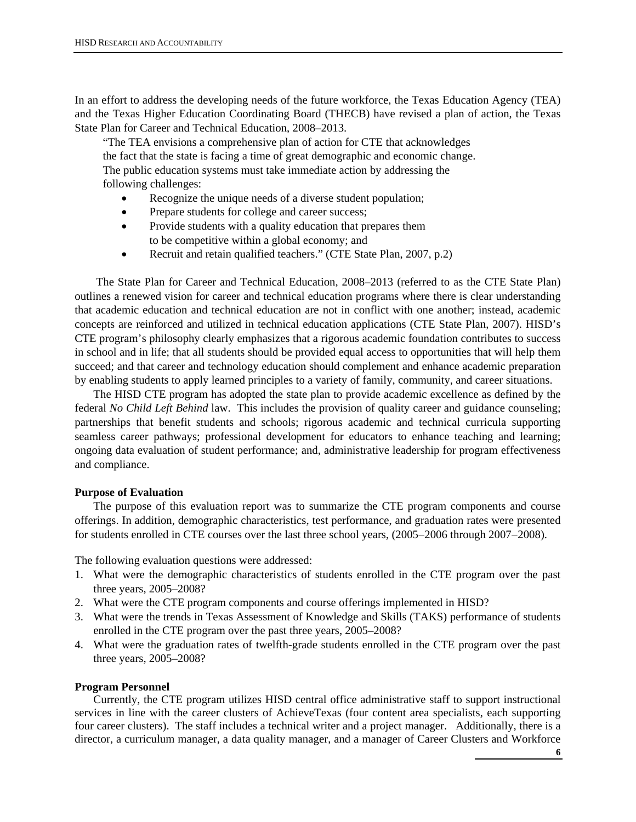In an effort to address the developing needs of the future workforce, the Texas Education Agency (TEA) and the Texas Higher Education Coordinating Board (THECB) have revised a plan of action, the Texas State Plan for Career and Technical Education, 2008–2013.

 "The TEA envisions a comprehensive plan of action for CTE that acknowledges the fact that the state is facing a time of great demographic and economic change. The public education systems must take immediate action by addressing the following challenges:

- Recognize the unique needs of a diverse student population;
- Prepare students for college and career success;
- Provide students with a quality education that prepares them to be competitive within a global economy; and
- Recruit and retain qualified teachers." (CTE State Plan, 2007, p.2)

 The State Plan for Career and Technical Education, 2008–2013 (referred to as the CTE State Plan) outlines a renewed vision for career and technical education programs where there is clear understanding that academic education and technical education are not in conflict with one another; instead, academic concepts are reinforced and utilized in technical education applications (CTE State Plan, 2007). HISD's CTE program's philosophy clearly emphasizes that a rigorous academic foundation contributes to success in school and in life; that all students should be provided equal access to opportunities that will help them succeed; and that career and technology education should complement and enhance academic preparation by enabling students to apply learned principles to a variety of family, community, and career situations.

The HISD CTE program has adopted the state plan to provide academic excellence as defined by the federal *No Child Left Behind* law. This includes the provision of quality career and guidance counseling; partnerships that benefit students and schools; rigorous academic and technical curricula supporting seamless career pathways; professional development for educators to enhance teaching and learning; ongoing data evaluation of student performance; and, administrative leadership for program effectiveness and compliance.

## **Purpose of Evaluation**

The purpose of this evaluation report was to summarize the CTE program components and course offerings. In addition, demographic characteristics, test performance, and graduation rates were presented for students enrolled in CTE courses over the last three school years, (2005−2006 through 2007−2008).

The following evaluation questions were addressed:

- 1. What were the demographic characteristics of students enrolled in the CTE program over the past three years, 2005–2008?
- 2. What were the CTE program components and course offerings implemented in HISD?
- 3. What were the trends in Texas Assessment of Knowledge and Skills (TAKS) performance of students enrolled in the CTE program over the past three years, 2005–2008?
- 4. What were the graduation rates of twelfth-grade students enrolled in the CTE program over the past three years, 2005–2008?

#### **Program Personnel**

Currently, the CTE program utilizes HISD central office administrative staff to support instructional services in line with the career clusters of AchieveTexas (four content area specialists, each supporting four career clusters). The staff includes a technical writer and a project manager. Additionally, there is a director, a curriculum manager, a data quality manager, and a manager of Career Clusters and Workforce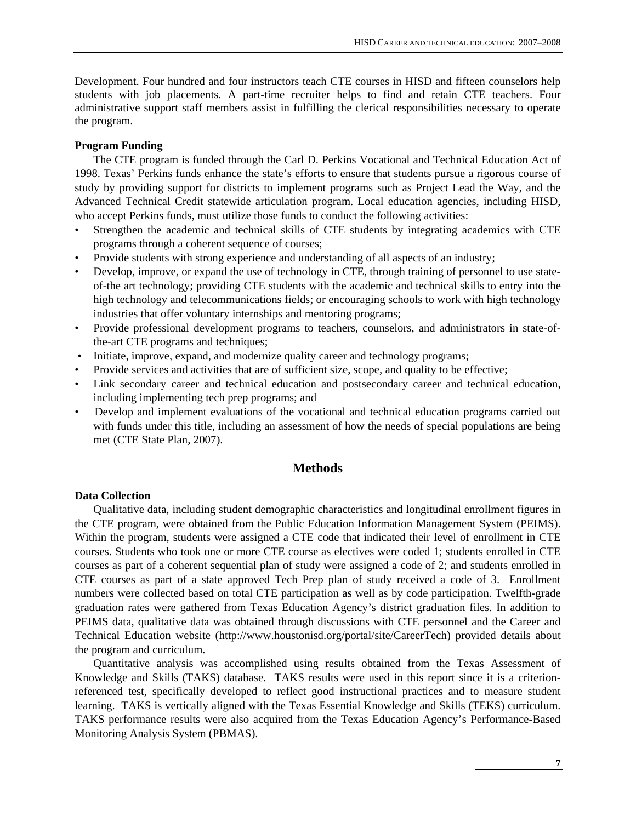Development. Four hundred and four instructors teach CTE courses in HISD and fifteen counselors help students with job placements. A part-time recruiter helps to find and retain CTE teachers. Four administrative support staff members assist in fulfilling the clerical responsibilities necessary to operate the program.

## **Program Funding**

The CTE program is funded through the Carl D. Perkins Vocational and Technical Education Act of 1998. Texas' Perkins funds enhance the state's efforts to ensure that students pursue a rigorous course of study by providing support for districts to implement programs such as Project Lead the Way, and the Advanced Technical Credit statewide articulation program. Local education agencies, including HISD, who accept Perkins funds, must utilize those funds to conduct the following activities:

- Strengthen the academic and technical skills of CTE students by integrating academics with CTE programs through a coherent sequence of courses;
- Provide students with strong experience and understanding of all aspects of an industry;
- Develop, improve, or expand the use of technology in CTE, through training of personnel to use stateof-the art technology; providing CTE students with the academic and technical skills to entry into the high technology and telecommunications fields; or encouraging schools to work with high technology industries that offer voluntary internships and mentoring programs;
- Provide professional development programs to teachers, counselors, and administrators in state-ofthe-art CTE programs and techniques;
- Initiate, improve, expand, and modernize quality career and technology programs;
- Provide services and activities that are of sufficient size, scope, and quality to be effective;
- Link secondary career and technical education and postsecondary career and technical education, including implementing tech prep programs; and
- Develop and implement evaluations of the vocational and technical education programs carried out with funds under this title, including an assessment of how the needs of special populations are being met (CTE State Plan, 2007).

# **Methods**

## **Data Collection**

Qualitative data, including student demographic characteristics and longitudinal enrollment figures in the CTE program, were obtained from the Public Education Information Management System (PEIMS). Within the program, students were assigned a CTE code that indicated their level of enrollment in CTE courses. Students who took one or more CTE course as electives were coded 1; students enrolled in CTE courses as part of a coherent sequential plan of study were assigned a code of 2; and students enrolled in CTE courses as part of a state approved Tech Prep plan of study received a code of 3. Enrollment numbers were collected based on total CTE participation as well as by code participation. Twelfth-grade graduation rates were gathered from Texas Education Agency's district graduation files. In addition to PEIMS data, qualitative data was obtained through discussions with CTE personnel and the Career and Technical Education website (http://www.houstonisd.org/portal/site/CareerTech) provided details about the program and curriculum.

Quantitative analysis was accomplished using results obtained from the Texas Assessment of Knowledge and Skills (TAKS) database. TAKS results were used in this report since it is a criterionreferenced test, specifically developed to reflect good instructional practices and to measure student learning. TAKS is vertically aligned with the Texas Essential Knowledge and Skills (TEKS) curriculum. TAKS performance results were also acquired from the Texas Education Agency's Performance-Based Monitoring Analysis System (PBMAS).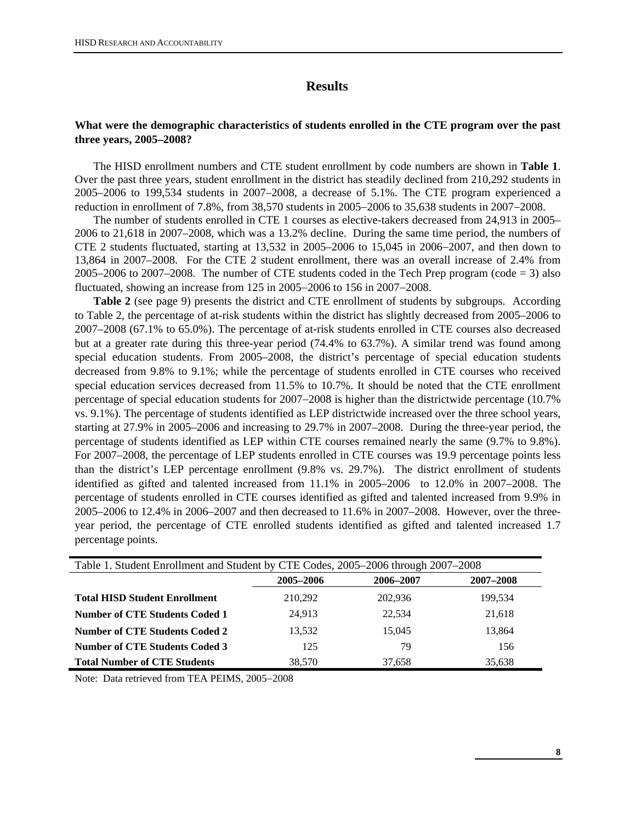# **Results**

# **What were the demographic characteristics of students enrolled in the CTE program over the past three years, 2005–2008?**

The HISD enrollment numbers and CTE student enrollment by code numbers are shown in **Table 1**. Over the past three years, student enrollment in the district has steadily declined from 210,292 students in 2005–2006 to 199,534 students in 2007–2008, a decrease of 5.1%. The CTE program experienced a reduction in enrollment of 7.8%, from 38,570 students in 2005−2006 to 35,638 students in 2007−2008.

The number of students enrolled in CTE 1 courses as elective-takers decreased from 24,913 in 2005– 2006 to 21,618 in 2007–2008, which was a 13.2% decline. During the same time period, the numbers of CTE 2 students fluctuated, starting at 13,532 in 2005–2006 to 15,045 in 2006−2007, and then down to 13,864 in 2007–2008. For the CTE 2 student enrollment, there was an overall increase of 2.4% from 2005–2006 to 2007–2008. The number of CTE students coded in the Tech Prep program (code  $=$  3) also fluctuated, showing an increase from 125 in 2005−2006 to 156 in 2007−2008.

**Table 2** (see page 9) presents the district and CTE enrollment of students by subgroups. According to Table 2, the percentage of at-risk students within the district has slightly decreased from 2005–2006 to 2007–2008 (67.1% to 65.0%). The percentage of at-risk students enrolled in CTE courses also decreased but at a greater rate during this three-year period (74.4% to 63.7%). A similar trend was found among special education students. From 2005–2008, the district's percentage of special education students decreased from 9.8% to 9.1%; while the percentage of students enrolled in CTE courses who received special education services decreased from 11.5% to 10.7%. It should be noted that the CTE enrollment percentage of special education students for 2007−2008 is higher than the districtwide percentage (10.7% vs. 9.1%). The percentage of students identified as LEP districtwide increased over the three school years, starting at 27.9% in 2005–2006 and increasing to 29.7% in 2007–2008. During the three-year period, the percentage of students identified as LEP within CTE courses remained nearly the same (9.7% to 9.8%). For 2007–2008, the percentage of LEP students enrolled in CTE courses was 19.9 percentage points less than the district's LEP percentage enrollment (9.8% vs. 29.7%). The district enrollment of students identified as gifted and talented increased from 11.1% in 2005–2006 to 12.0% in 2007–2008. The percentage of students enrolled in CTE courses identified as gifted and talented increased from 9.9% in 2005–2006 to 12.4% in 2006–2007 and then decreased to 11.6% in 2007–2008. However, over the threeyear period, the percentage of CTE enrolled students identified as gifted and talented increased 1.7 percentage points.

| Table 1. Student Enrollment and Student by CTE Codes, 2005–2006 through 2007–2008 |           |           |           |  |  |
|-----------------------------------------------------------------------------------|-----------|-----------|-----------|--|--|
|                                                                                   | 2005-2006 | 2006-2007 | 2007-2008 |  |  |
| <b>Total HISD Student Enrollment</b>                                              | 210,292   | 202,936   | 199.534   |  |  |
| Number of CTE Students Coded 1                                                    | 24.913    | 22.534    | 21,618    |  |  |
| Number of CTE Students Coded 2                                                    | 13.532    | 15.045    | 13,864    |  |  |
| Number of CTE Students Coded 3                                                    | 125       | 79        | 156       |  |  |
| <b>Total Number of CTE Students</b>                                               | 38,570    | 37.658    | 35,638    |  |  |

Note: Data retrieved from TEA PEIMS, 2005−2008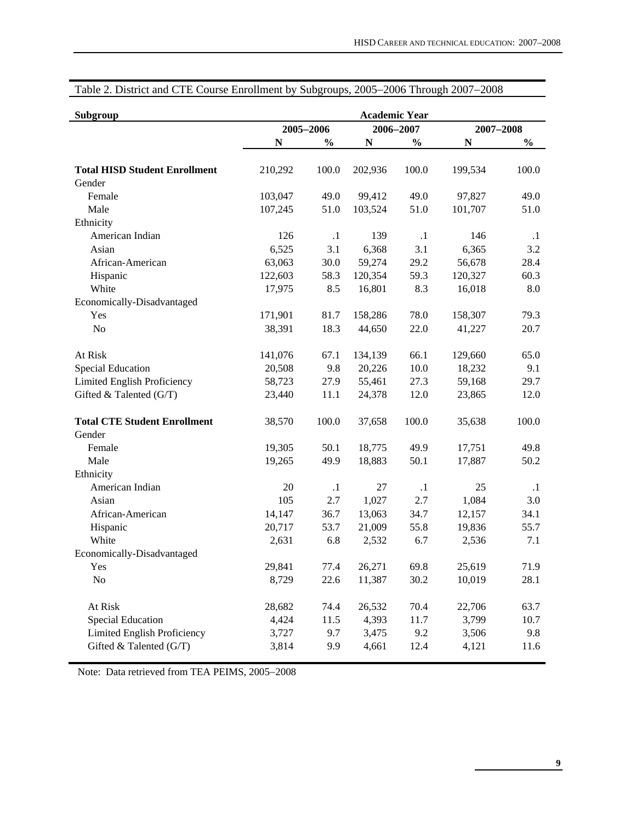| Subgroup                             | <b>Academic Year</b> |               |             |               |           |               |
|--------------------------------------|----------------------|---------------|-------------|---------------|-----------|---------------|
|                                      | 2005-2006            |               | 2006-2007   |               | 2007-2008 |               |
|                                      | N                    | $\frac{0}{0}$ | $\mathbf N$ | $\frac{0}{0}$ | N         | $\frac{0}{0}$ |
| <b>Total HISD Student Enrollment</b> | 210,292              | 100.0         | 202,936     | 100.0         | 199,534   | 100.0         |
| Gender                               |                      |               |             |               |           |               |
| Female                               | 103,047              | 49.0          | 99,412      | 49.0          | 97,827    | 49.0          |
| Male                                 | 107,245              | 51.0          | 103,524     | 51.0          | 101,707   | 51.0          |
| Ethnicity                            |                      |               |             |               |           |               |
| American Indian                      | 126                  | $\cdot$ 1     | 139         | $\cdot$ 1     | 146       | $\cdot$ 1     |
| Asian                                | 6,525                | 3.1           | 6,368       | 3.1           | 6,365     | 3.2           |
| African-American                     | 63,063               | 30.0          | 59,274      | 29.2          | 56,678    | 28.4          |
| Hispanic                             | 122,603              | 58.3          | 120,354     | 59.3          | 120,327   | 60.3          |
| White                                | 17,975               | 8.5           | 16,801      | 8.3           | 16,018    | $8.0\,$       |
| Economically-Disadvantaged           |                      |               |             |               |           |               |
| Yes                                  | 171,901              | 81.7          | 158,286     | 78.0          | 158,307   | 79.3          |
| N <sub>o</sub>                       | 38,391               | 18.3          | 44,650      | 22.0          | 41,227    | 20.7          |
| At Risk                              | 141,076              | 67.1          | 134,139     | 66.1          | 129,660   | 65.0          |
| Special Education                    | 20,508               | 9.8           | 20,226      | 10.0          | 18,232    | 9.1           |
| Limited English Proficiency          | 58,723               | 27.9          | 55,461      | 27.3          | 59,168    | 29.7          |
| Gifted & Talented (G/T)              | 23,440               | 11.1          | 24,378      | 12.0          | 23,865    | 12.0          |
| <b>Total CTE Student Enrollment</b>  | 38,570               | 100.0         | 37,658      | 100.0         | 35,638    | 100.0         |
| Gender                               |                      |               |             |               |           |               |
| Female                               | 19,305               | 50.1          | 18,775      | 49.9          | 17,751    | 49.8          |
| Male                                 | 19,265               | 49.9          | 18,883      | 50.1          | 17,887    | 50.2          |
| Ethnicity                            |                      |               |             |               |           |               |
| American Indian                      | 20                   | $\cdot$ 1     | 27          | $\cdot$ 1     | 25        | $\cdot$ 1     |
| Asian                                | 105                  | 2.7           | 1,027       | 2.7           | 1,084     | 3.0           |
| African-American                     | 14,147               | 36.7          | 13,063      | 34.7          | 12,157    | 34.1          |
| Hispanic                             | 20,717               | 53.7          | 21,009      | 55.8          | 19,836    | 55.7          |
| White                                | 2,631                | 6.8           | 2,532       | 6.7           | 2,536     | 7.1           |
| Economically-Disadvantaged           |                      |               |             |               |           |               |
| Yes                                  | 29,841               | 77.4          | 26,271      | 69.8          | 25,619    | 71.9          |
| N <sub>o</sub>                       | 8,729                | 22.6          | 11,387      | 30.2          | 10,019    | 28.1          |
| At Risk                              | 28,682               | 74.4          | 26,532      | 70.4          | 22,706    | 63.7          |
| <b>Special Education</b>             | 4,424                | 11.5          | 4,393       | 11.7          | 3,799     | 10.7          |
| Limited English Proficiency          | 3,727                | 9.7           | 3,475       | 9.2           | 3,506     | 9.8           |
| Gifted & Talented (G/T)              | 3,814                | 9.9           | 4,661       | 12.4          | 4,121     | 11.6          |

# Table 2. District and CTE Course Enrollment by Subgroups, 2005−2006 Through 2007−2008

Note: Data retrieved from TEA PEIMS, 2005−2008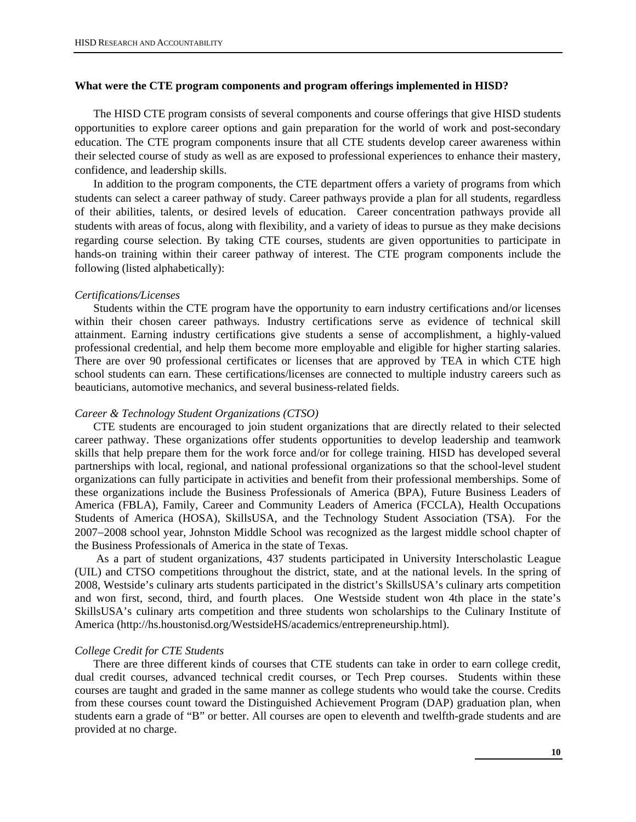## **What were the CTE program components and program offerings implemented in HISD?**

The HISD CTE program consists of several components and course offerings that give HISD students opportunities to explore career options and gain preparation for the world of work and post-secondary education. The CTE program components insure that all CTE students develop career awareness within their selected course of study as well as are exposed to professional experiences to enhance their mastery, confidence, and leadership skills.

In addition to the program components, the CTE department offers a variety of programs from which students can select a career pathway of study. Career pathways provide a plan for all students, regardless of their abilities, talents, or desired levels of education. Career concentration pathways provide all students with areas of focus, along with flexibility, and a variety of ideas to pursue as they make decisions regarding course selection. By taking CTE courses, students are given opportunities to participate in hands-on training within their career pathway of interest. The CTE program components include the following (listed alphabetically):

#### *Certifications/Licenses*

Students within the CTE program have the opportunity to earn industry certifications and/or licenses within their chosen career pathways. Industry certifications serve as evidence of technical skill attainment. Earning industry certifications give students a sense of accomplishment, a highly-valued professional credential, and help them become more employable and eligible for higher starting salaries. There are over 90 professional certificates or licenses that are approved by TEA in which CTE high school students can earn. These certifications/licenses are connected to multiple industry careers such as beauticians, automotive mechanics, and several business-related fields.

#### *Career & Technology Student Organizations (CTSO)*

CTE students are encouraged to join student organizations that are directly related to their selected career pathway. These organizations offer students opportunities to develop leadership and teamwork skills that help prepare them for the work force and/or for college training. HISD has developed several partnerships with local, regional, and national professional organizations so that the school-level student organizations can fully participate in activities and benefit from their professional memberships. Some of these organizations include the Business Professionals of America (BPA), Future Business Leaders of America (FBLA), Family, Career and Community Leaders of America (FCCLA), Health Occupations Students of America (HOSA), SkillsUSA, and the Technology Student Association (TSA). For the 2007−2008 school year, Johnston Middle School was recognized as the largest middle school chapter of the Business Professionals of America in the state of Texas.

As a part of student organizations, 437 students participated in University Interscholastic League (UIL) and CTSO competitions throughout the district, state, and at the national levels. In the spring of 2008, Westside's culinary arts students participated in the district's SkillsUSA's culinary arts competition and won first, second, third, and fourth places. One Westside student won 4th place in the state's SkillsUSA's culinary arts competition and three students won scholarships to the Culinary Institute of America (http://hs.houstonisd.org/WestsideHS/academics/entrepreneurship.html).

#### *College Credit for CTE Students*

There are three different kinds of courses that CTE students can take in order to earn college credit, dual credit courses, advanced technical credit courses, or Tech Prep courses. Students within these courses are taught and graded in the same manner as college students who would take the course. Credits from these courses count toward the Distinguished Achievement Program (DAP) graduation plan, when students earn a grade of "B" or better. All courses are open to eleventh and twelfth-grade students and are provided at no charge.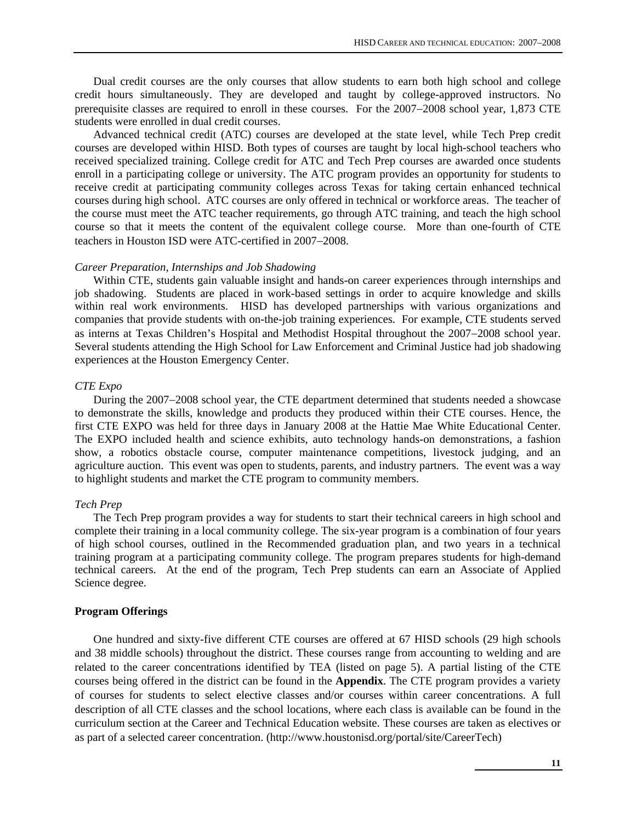Dual credit courses are the only courses that allow students to earn both high school and college credit hours simultaneously. They are developed and taught by college-approved instructors. No prerequisite classes are required to enroll in these courses. For the 2007−2008 school year, 1,873 CTE students were enrolled in dual credit courses.

Advanced technical credit (ATC) courses are developed at the state level, while Tech Prep credit courses are developed within HISD. Both types of courses are taught by local high-school teachers who received specialized training. College credit for ATC and Tech Prep courses are awarded once students enroll in a participating college or university. The ATC program provides an opportunity for students to receive credit at participating community colleges across Texas for taking certain enhanced technical courses during high school. ATC courses are only offered in technical or workforce areas. The teacher of the course must meet the ATC teacher requirements, go through ATC training, and teach the high school course so that it meets the content of the equivalent college course. More than one-fourth of CTE teachers in Houston ISD were ATC-certified in 2007−2008.

#### *Career Preparation, Internships and Job Shadowing*

Within CTE, students gain valuable insight and hands-on career experiences through internships and job shadowing. Students are placed in work-based settings in order to acquire knowledge and skills within real work environments. HISD has developed partnerships with various organizations and companies that provide students with on-the-job training experiences. For example, CTE students served as interns at Texas Children's Hospital and Methodist Hospital throughout the 2007−2008 school year. Several students attending the High School for Law Enforcement and Criminal Justice had job shadowing experiences at the Houston Emergency Center.

#### *CTE Expo*

During the 2007−2008 school year, the CTE department determined that students needed a showcase to demonstrate the skills, knowledge and products they produced within their CTE courses. Hence, the first CTE EXPO was held for three days in January 2008 at the Hattie Mae White Educational Center. The EXPO included health and science exhibits, auto technology hands-on demonstrations, a fashion show, a robotics obstacle course, computer maintenance competitions, livestock judging, and an agriculture auction. This event was open to students, parents, and industry partners. The event was a way to highlight students and market the CTE program to community members.

#### *Tech Prep*

The Tech Prep program provides a way for students to start their technical careers in high school and complete their training in a local community college. The six-year program is a combination of four years of high school courses, outlined in the Recommended graduation plan, and two years in a technical training program at a participating community college. The program prepares students for high-demand technical careers. At the end of the program, Tech Prep students can earn an Associate of Applied Science degree.

#### **Program Offerings**

One hundred and sixty-five different CTE courses are offered at 67 HISD schools (29 high schools and 38 middle schools) throughout the district. These courses range from accounting to welding and are related to the career concentrations identified by TEA (listed on page 5). A partial listing of the CTE courses being offered in the district can be found in the **Appendix**. The CTE program provides a variety of courses for students to select elective classes and/or courses within career concentrations. A full description of all CTE classes and the school locations, where each class is available can be found in the curriculum section at the Career and Technical Education website. These courses are taken as electives or as part of a selected career concentration. (http://www.houstonisd.org/portal/site/CareerTech)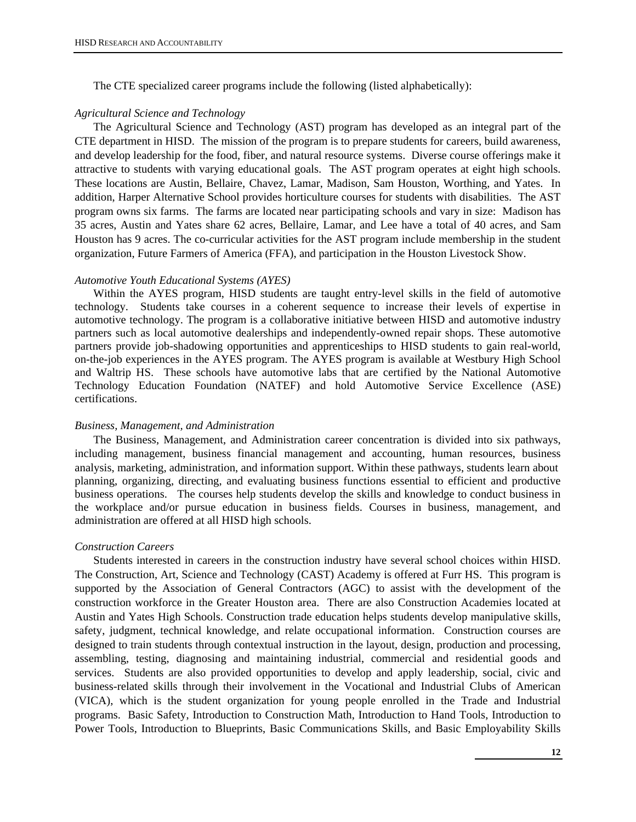The CTE specialized career programs include the following (listed alphabetically):

#### *Agricultural Science and Technology*

The Agricultural Science and Technology (AST) program has developed as an integral part of the CTE department in HISD. The mission of the program is to prepare students for careers, build awareness, and develop leadership for the food, fiber, and natural resource systems. Diverse course offerings make it attractive to students with varying educational goals. The AST program operates at eight high schools. These locations are Austin, Bellaire, Chavez, Lamar, Madison, Sam Houston, Worthing, and Yates. In addition, Harper Alternative School provides horticulture courses for students with disabilities. The AST program owns six farms. The farms are located near participating schools and vary in size: Madison has 35 acres, Austin and Yates share 62 acres, Bellaire, Lamar, and Lee have a total of 40 acres, and Sam Houston has 9 acres. The co-curricular activities for the AST program include membership in the student organization, Future Farmers of America (FFA), and participation in the Houston Livestock Show.

## *Automotive Youth Educational Systems (AYES)*

Within the AYES program, HISD students are taught entry-level skills in the field of automotive technology. Students take courses in a coherent sequence to increase their levels of expertise in automotive technology. The program is a collaborative initiative between HISD and automotive industry partners such as local automotive dealerships and independently-owned repair shops. These automotive partners provide job-shadowing opportunities and apprenticeships to HISD students to gain real-world, on-the-job experiences in the AYES program. The AYES program is available at Westbury High School and Waltrip HS. These schools have automotive labs that are certified by the National Automotive Technology Education Foundation (NATEF) and hold Automotive Service Excellence (ASE) certifications.

#### *Business, Management, and Administration*

The Business, Management, and Administration career concentration is divided into six pathways, including management, business financial management and accounting, human resources, business analysis, marketing, administration, and information support. Within these pathways, students learn about planning, organizing, directing, and evaluating business functions essential to efficient and productive business operations. The courses help students develop the skills and knowledge to conduct business in the workplace and/or pursue education in business fields. Courses in business, management, and administration are offered at all HISD high schools.

#### *Construction Careers*

Students interested in careers in the construction industry have several school choices within HISD. The Construction, Art, Science and Technology (CAST) Academy is offered at Furr HS. This program is supported by the Association of General Contractors (AGC) to assist with the development of the construction workforce in the Greater Houston area. There are also Construction Academies located at Austin and Yates High Schools. Construction trade education helps students develop manipulative skills, safety, judgment, technical knowledge, and relate occupational information. Construction courses are designed to train students through contextual instruction in the layout, design, production and processing, assembling, testing, diagnosing and maintaining industrial, commercial and residential goods and services. Students are also provided opportunities to develop and apply leadership, social, civic and business-related skills through their involvement in the Vocational and Industrial Clubs of American (VICA), which is the student organization for young people enrolled in the Trade and Industrial programs. Basic Safety, Introduction to Construction Math, Introduction to Hand Tools, Introduction to Power Tools, Introduction to Blueprints, Basic Communications Skills, and Basic Employability Skills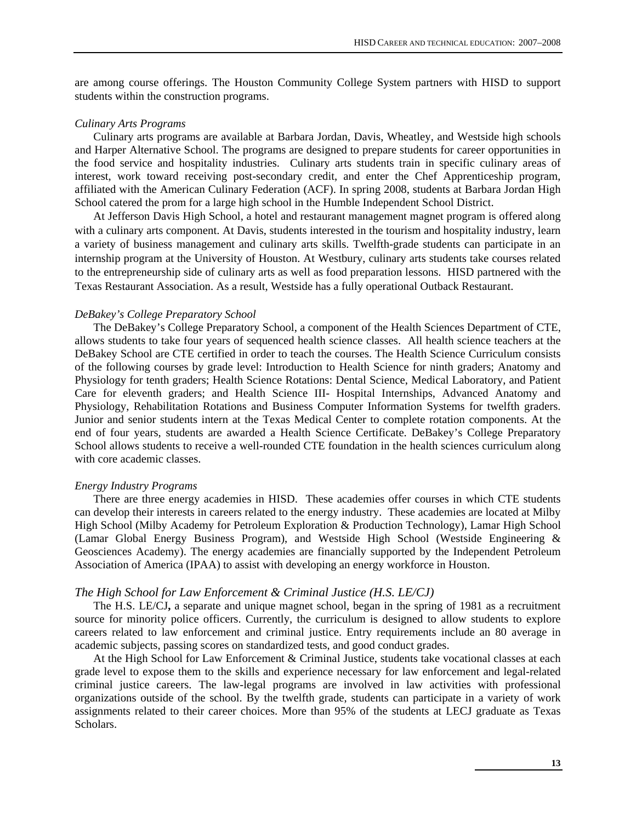are among course offerings. The Houston Community College System partners with HISD to support students within the construction programs.

#### *Culinary Arts Programs*

Culinary arts programs are available at Barbara Jordan, Davis, Wheatley, and Westside high schools and Harper Alternative School. The programs are designed to prepare students for career opportunities in the food service and hospitality industries. Culinary arts students train in specific culinary areas of interest, work toward receiving post-secondary credit, and enter the Chef Apprenticeship program, affiliated with the American Culinary Federation (ACF). In spring 2008, students at Barbara Jordan High School catered the prom for a large high school in the Humble Independent School District.

At Jefferson Davis High School, a hotel and restaurant management magnet program is offered along with a culinary arts component. At Davis, students interested in the tourism and hospitality industry, learn a variety of business management and culinary arts skills. Twelfth-grade students can participate in an internship program at the University of Houston. At Westbury, culinary arts students take courses related to the entrepreneurship side of culinary arts as well as food preparation lessons. HISD partnered with the Texas Restaurant Association. As a result, Westside has a fully operational Outback Restaurant.

#### *DeBakey's College Preparatory School*

The DeBakey's College Preparatory School, a component of the Health Sciences Department of CTE, allows students to take four years of sequenced health science classes. All health science teachers at the DeBakey School are CTE certified in order to teach the courses. The Health Science Curriculum consists of the following courses by grade level: Introduction to Health Science for ninth graders; Anatomy and Physiology for tenth graders; Health Science Rotations: Dental Science, Medical Laboratory, and Patient Care for eleventh graders; and Health Science III- Hospital Internships, Advanced Anatomy and Physiology, Rehabilitation Rotations and Business Computer Information Systems for twelfth graders. Junior and senior students intern at the Texas Medical Center to complete rotation components. At the end of four years, students are awarded a Health Science Certificate. DeBakey's College Preparatory School allows students to receive a well-rounded CTE foundation in the health sciences curriculum along with core academic classes.

#### *Energy Industry Programs*

There are three energy academies in HISD. These academies offer courses in which CTE students can develop their interests in careers related to the energy industry. These academies are located at Milby High School (Milby Academy for Petroleum Exploration & Production Technology), Lamar High School (Lamar Global Energy Business Program), and Westside High School (Westside Engineering & Geosciences Academy). The energy academies are financially supported by the Independent Petroleum Association of America (IPAA) to assist with developing an energy workforce in Houston.

#### *The High School for Law Enforcement & Criminal Justice (H.S. LE/CJ)*

The H.S. LE/CJ**,** a separate and unique magnet school, began in the spring of 1981 as a recruitment source for minority police officers. Currently, the curriculum is designed to allow students to explore careers related to law enforcement and criminal justice. Entry requirements include an 80 average in academic subjects, passing scores on standardized tests, and good conduct grades.

At the High School for Law Enforcement & Criminal Justice, students take vocational classes at each grade level to expose them to the skills and experience necessary for law enforcement and legal-related criminal justice careers. The law-legal programs are involved in law activities with professional organizations outside of the school. By the twelfth grade, students can participate in a variety of work assignments related to their career choices. More than 95% of the students at LECJ graduate as Texas **Scholars**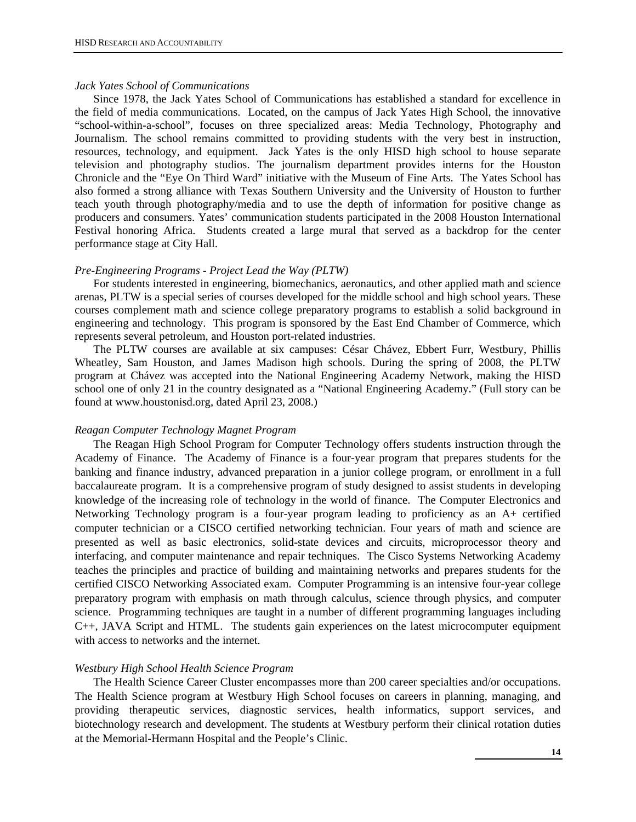#### *Jack Yates School of Communications*

Since 1978, the Jack Yates School of Communications has established a standard for excellence in the field of media communications. Located, on the campus of Jack Yates High School, the innovative "school-within-a-school", focuses on three specialized areas: Media Technology, Photography and Journalism. The school remains committed to providing students with the very best in instruction, resources, technology, and equipment. Jack Yates is the only HISD high school to house separate television and photography studios. The journalism department provides interns for the Houston Chronicle and the "Eye On Third Ward" initiative with the Museum of Fine Arts. The Yates School has also formed a strong alliance with Texas Southern University and the University of Houston to further teach youth through photography/media and to use the depth of information for positive change as producers and consumers. Yates' communication students participated in the 2008 Houston International Festival honoring Africa. Students created a large mural that served as a backdrop for the center performance stage at City Hall.

#### *Pre-Engineering Programs - Project Lead the Way (PLTW)*

For students interested in engineering, biomechanics, aeronautics, and other applied math and science arenas, PLTW is a special series of courses developed for the middle school and high school years. These courses complement math and science college preparatory programs to establish a solid background in engineering and technology. This program is sponsored by the East End Chamber of Commerce, which represents several petroleum, and Houston port-related industries.

The PLTW courses are available at six campuses: César Chávez, Ebbert Furr, Westbury, Phillis Wheatley, Sam Houston, and James Madison high schools. During the spring of 2008, the PLTW program at Chávez was accepted into the National Engineering Academy Network, making the HISD school one of only 21 in the country designated as a "National Engineering Academy." (Full story can be found at www.houstonisd.org, dated April 23, 2008.)

#### *Reagan Computer Technology Magnet Program*

The Reagan High School Program for Computer Technology offers students instruction through the Academy of Finance. The Academy of Finance is a four-year program that prepares students for the banking and finance industry, advanced preparation in a junior college program, or enrollment in a full baccalaureate program. It is a comprehensive program of study designed to assist students in developing knowledge of the increasing role of technology in the world of finance. The Computer Electronics and Networking Technology program is a four-year program leading to proficiency as an A+ certified computer technician or a CISCO certified networking technician. Four years of math and science are presented as well as basic electronics, solid-state devices and circuits, microprocessor theory and interfacing, and computer maintenance and repair techniques. The Cisco Systems Networking Academy teaches the principles and practice of building and maintaining networks and prepares students for the certified CISCO Networking Associated exam. Computer Programming is an intensive four-year college preparatory program with emphasis on math through calculus, science through physics, and computer science. Programming techniques are taught in a number of different programming languages including C++, JAVA Script and HTML. The students gain experiences on the latest microcomputer equipment with access to networks and the internet.

## *Westbury High School Health Science Program*

The Health Science Career Cluster encompasses more than 200 career specialties and/or occupations. The Health Science program at Westbury High School focuses on careers in planning, managing, and providing therapeutic services, diagnostic services, health informatics, support services, and biotechnology research and development. The students at Westbury perform their clinical rotation duties at the Memorial-Hermann Hospital and the People's Clinic.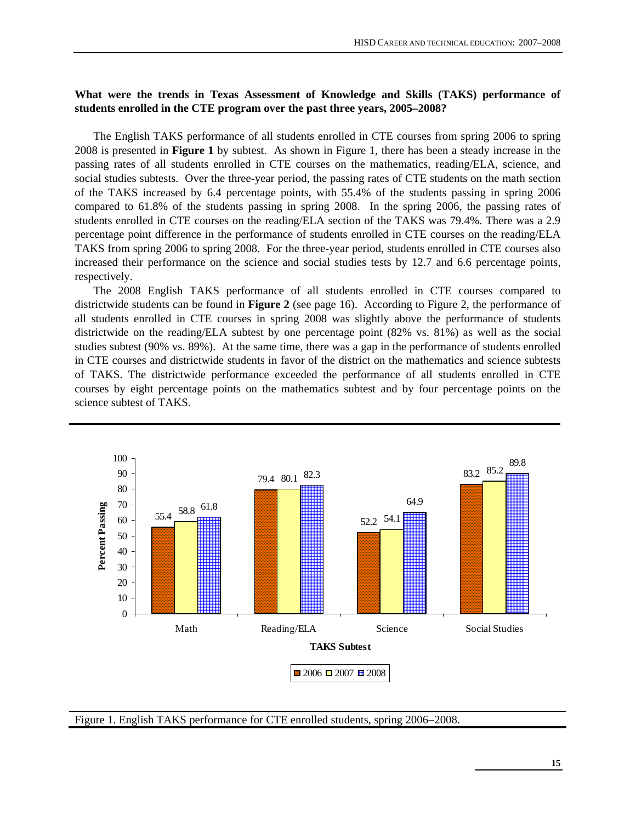# **What were the trends in Texas Assessment of Knowledge and Skills (TAKS) performance of students enrolled in the CTE program over the past three years, 2005–2008?**

The English TAKS performance of all students enrolled in CTE courses from spring 2006 to spring 2008 is presented in **Figure 1** by subtest. As shown in Figure 1, there has been a steady increase in the passing rates of all students enrolled in CTE courses on the mathematics, reading/ELA, science, and social studies subtests. Over the three-year period, the passing rates of CTE students on the math section of the TAKS increased by 6.4 percentage points, with 55.4% of the students passing in spring 2006 compared to 61.8% of the students passing in spring 2008. In the spring 2006, the passing rates of students enrolled in CTE courses on the reading/ELA section of the TAKS was 79.4%. There was a 2.9 percentage point difference in the performance of students enrolled in CTE courses on the reading/ELA TAKS from spring 2006 to spring 2008. For the three-year period, students enrolled in CTE courses also increased their performance on the science and social studies tests by 12.7 and 6.6 percentage points, respectively.

The 2008 English TAKS performance of all students enrolled in CTE courses compared to districtwide students can be found in **Figure 2** (see page 16). According to Figure 2, the performance of all students enrolled in CTE courses in spring 2008 was slightly above the performance of students districtwide on the reading/ELA subtest by one percentage point (82% vs. 81%) as well as the social studies subtest (90% vs. 89%). At the same time, there was a gap in the performance of students enrolled in CTE courses and districtwide students in favor of the district on the mathematics and science subtests of TAKS. The districtwide performance exceeded the performance of all students enrolled in CTE courses by eight percentage points on the mathematics subtest and by four percentage points on the science subtest of TAKS.



Figure 1. English TAKS performance for CTE enrolled students, spring 2006−2008.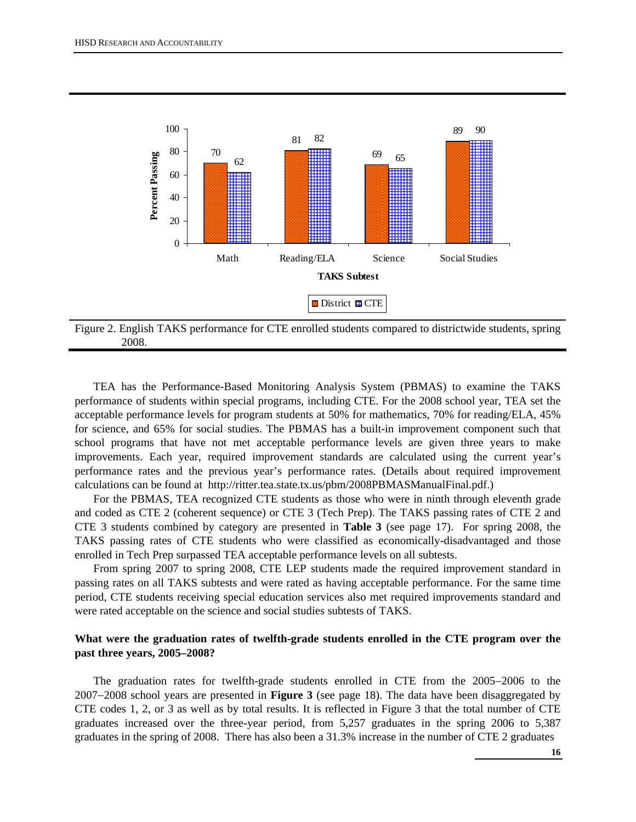



TEA has the Performance-Based Monitoring Analysis System (PBMAS) to examine the TAKS performance of students within special programs, including CTE. For the 2008 school year, TEA set the acceptable performance levels for program students at 50% for mathematics, 70% for reading/ELA, 45% for science, and 65% for social studies. The PBMAS has a built-in improvement component such that school programs that have not met acceptable performance levels are given three years to make improvements. Each year, required improvement standards are calculated using the current year's performance rates and the previous year's performance rates. (Details about required improvement calculations can be found at http://ritter.tea.state.tx.us/pbm/2008PBMASManualFinal.pdf.)

For the PBMAS, TEA recognized CTE students as those who were in ninth through eleventh grade and coded as CTE 2 (coherent sequence) or CTE 3 (Tech Prep). The TAKS passing rates of CTE 2 and CTE 3 students combined by category are presented in **Table 3** (see page 17). For spring 2008, the TAKS passing rates of CTE students who were classified as economically-disadvantaged and those enrolled in Tech Prep surpassed TEA acceptable performance levels on all subtests.

From spring 2007 to spring 2008, CTE LEP students made the required improvement standard in passing rates on all TAKS subtests and were rated as having acceptable performance. For the same time period, CTE students receiving special education services also met required improvements standard and were rated acceptable on the science and social studies subtests of TAKS.

# **What were the graduation rates of twelfth-grade students enrolled in the CTE program over the past three years, 2005–2008?**

The graduation rates for twelfth-grade students enrolled in CTE from the 2005−2006 to the 2007−2008 school years are presented in **Figure 3** (see page 18). The data have been disaggregated by CTE codes 1, 2, or 3 as well as by total results. It is reflected in Figure 3 that the total number of CTE graduates increased over the three-year period, from 5,257 graduates in the spring 2006 to 5,387 graduates in the spring of 2008. There has also been a 31.3% increase in the number of CTE 2 graduates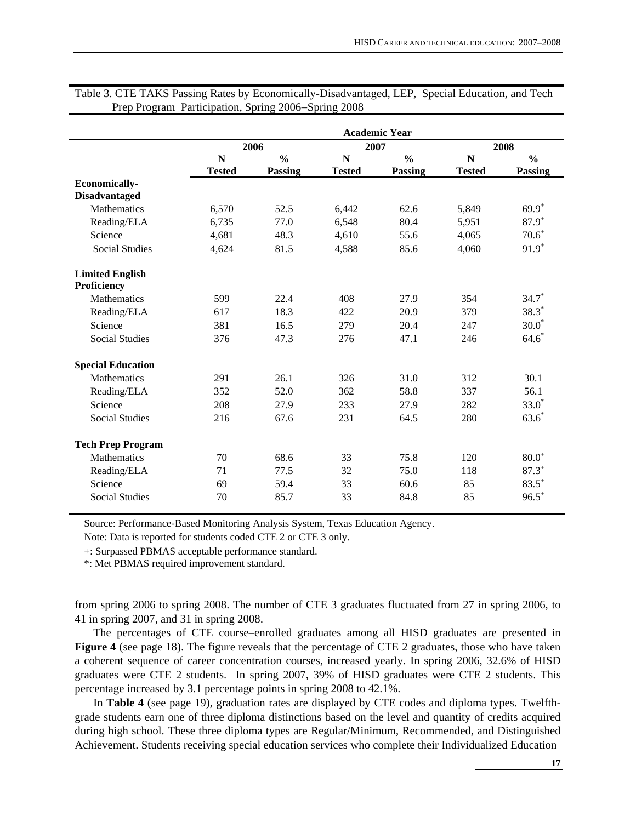|                                       |               |                |               | <b>Academic Year</b> |               |                |  |
|---------------------------------------|---------------|----------------|---------------|----------------------|---------------|----------------|--|
|                                       | 2006          |                | 2007          |                      | 2008          |                |  |
|                                       | $\mathbf N$   | $\frac{0}{0}$  | $\mathbf N$   | $\frac{0}{0}$        | $\mathbf N$   | $\frac{0}{0}$  |  |
|                                       | <b>Tested</b> | <b>Passing</b> | <b>Tested</b> | <b>Passing</b>       | <b>Tested</b> | <b>Passing</b> |  |
| <b>Economically-</b>                  |               |                |               |                      |               |                |  |
| <b>Disadvantaged</b>                  |               |                |               |                      |               |                |  |
| Mathematics                           | 6,570         | 52.5           | 6,442         | 62.6                 | 5,849         | $69.9^{+}$     |  |
| Reading/ELA                           | 6,735         | 77.0           | 6,548         | 80.4                 | 5,951         | $87.9^{+}$     |  |
| Science                               | 4,681         | 48.3           | 4,610         | 55.6                 | 4,065         | $70.6^+$       |  |
| <b>Social Studies</b>                 | 4,624         | 81.5           | 4,588         | 85.6                 | 4,060         | $91.9^{+}$     |  |
| <b>Limited English</b><br>Proficiency |               |                |               |                      |               |                |  |
| <b>Mathematics</b>                    |               |                | 408           |                      |               | $34.7*$        |  |
|                                       | 599           | 22.4           |               | 27.9                 | 354           |                |  |
| Reading/ELA                           | 617           | 18.3           | 422           | 20.9                 | 379           | $38.3*$        |  |
| Science                               | 381           | 16.5           | 279           | 20.4                 | 247           | $30.0*$        |  |
| <b>Social Studies</b>                 | 376           | 47.3           | 276           | 47.1                 | 246           | $64.6*$        |  |
| <b>Special Education</b>              |               |                |               |                      |               |                |  |
| <b>Mathematics</b>                    | 291           | 26.1           | 326           | 31.0                 | 312           | 30.1           |  |
| Reading/ELA                           | 352           | 52.0           | 362           | 58.8                 | 337           | 56.1           |  |
| Science                               | 208           | 27.9           | 233           | 27.9                 | 282           | $33.0^*$       |  |
| <b>Social Studies</b>                 | 216           | 67.6           | 231           | 64.5                 | 280           | $63.6*$        |  |
| <b>Tech Prep Program</b>              |               |                |               |                      |               |                |  |
| Mathematics                           | 70            | 68.6           | 33            | 75.8                 | 120           | $80.0^{+}$     |  |
| Reading/ELA                           | 71            | 77.5           | 32            | 75.0                 | 118           | $87.3^{+}$     |  |
| Science                               | 69            | 59.4           | 33            | 60.6                 | 85            | $83.5^{+}$     |  |
| <b>Social Studies</b>                 | 70            | 85.7           | 33            | 84.8                 | 85            | $96.5^+$       |  |

Table 3. CTE TAKS Passing Rates by Economically-Disadvantaged, LEP, Special Education, and Tech Prep Program Participation, Spring 2006−Spring 2008

Source: Performance-Based Monitoring Analysis System, Texas Education Agency.

Note: Data is reported for students coded CTE 2 or CTE 3 only.

+: Surpassed PBMAS acceptable performance standard.

\*: Met PBMAS required improvement standard.

from spring 2006 to spring 2008. The number of CTE 3 graduates fluctuated from 27 in spring 2006, to 41 in spring 2007, and 31 in spring 2008.

The percentages of CTE course–enrolled graduates among all HISD graduates are presented in **Figure 4** (see page 18). The figure reveals that the percentage of CTE 2 graduates, those who have taken a coherent sequence of career concentration courses, increased yearly. In spring 2006, 32.6% of HISD graduates were CTE 2 students. In spring 2007, 39% of HISD graduates were CTE 2 students. This percentage increased by 3.1 percentage points in spring 2008 to 42.1%.

In **Table 4** (see page 19), graduation rates are displayed by CTE codes and diploma types. Twelfthgrade students earn one of three diploma distinctions based on the level and quantity of credits acquired during high school. These three diploma types are Regular/Minimum, Recommended, and Distinguished Achievement. Students receiving special education services who complete their Individualized Education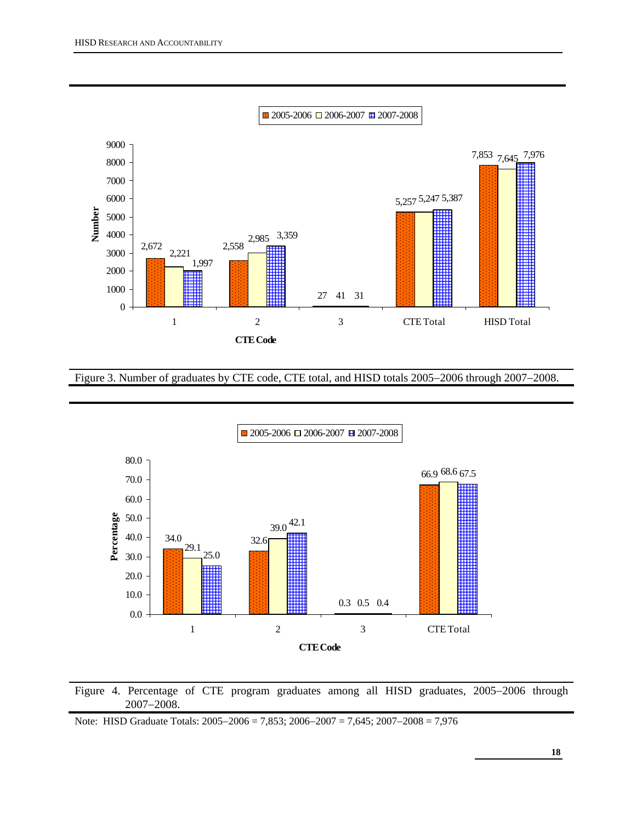

Figure 3. Number of graduates by CTE code, CTE total, and HISD totals 2005−2006 through 2007−2008.





Note: HISD Graduate Totals: 2005−2006 = 7,853; 2006−2007 = 7,645; 2007−2008 = 7,976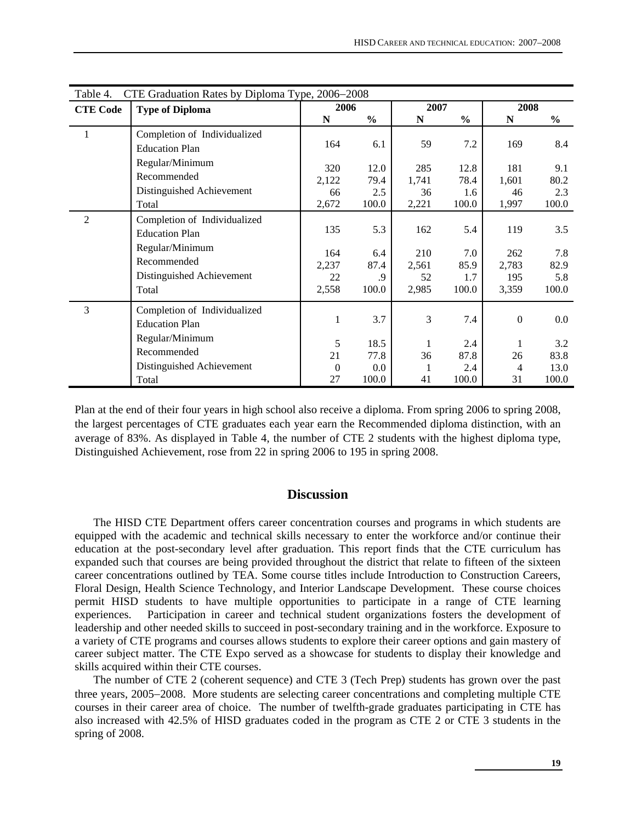| CTE Graduation Rates by Diploma Type, 2006–2008<br>Table 4. |                              |          |               |         |               |                      |               |
|-------------------------------------------------------------|------------------------------|----------|---------------|---------|---------------|----------------------|---------------|
| <b>CTE Code</b>                                             | <b>Type of Diploma</b>       | 2006     |               | 2007    |               | 2008                 |               |
|                                                             |                              | N        | $\frac{0}{0}$ | N       | $\frac{6}{6}$ | N                    | $\frac{0}{0}$ |
| 1                                                           | Completion of Individualized |          |               |         |               |                      |               |
|                                                             | <b>Education Plan</b>        | 164      | 6.1           | 59      | 7.2           | 169                  | 8.4           |
|                                                             | Regular/Minimum              | 320      | 12.0          | 285     | 12.8          | 181                  | 9.1           |
|                                                             | Recommended                  | 2,122    | 79.4          | 1,741   | 78.4          | 1,601                | 80.2          |
|                                                             | Distinguished Achievement    | 66       | 2.5           | 36      | 1.6           | 46                   | 2.3           |
|                                                             | Total                        | 2,672    | 100.0         | 2,221   | 100.0         | 1,997                | 100.0         |
| $\overline{2}$                                              | Completion of Individualized |          |               |         |               |                      |               |
|                                                             | <b>Education Plan</b>        | 135      | 5.3           | 162     | 5.4           | 119                  | 3.5           |
|                                                             | Regular/Minimum              | 164      | 6.4           | 210     | 7.0           | 262                  | 7.8           |
|                                                             | Recommended                  | 2,237    | 87.4          | 2,561   | 85.9          | 2,783                | 82.9          |
|                                                             | Distinguished Achievement    | 22       | .9            | 52      | 1.7           | 195                  | 5.8           |
|                                                             | Total                        | 2,558    | 100.0         | 2,985   | 100.0         | 3,359                | 100.0         |
| 3                                                           | Completion of Individualized |          |               |         |               |                      |               |
|                                                             | <b>Education Plan</b>        | 1        | 3.7           | 3       | 7.4           | $\Omega$             | $0.0\,$       |
|                                                             | Regular/Minimum              |          |               |         |               |                      |               |
|                                                             | Recommended                  | 5<br>21  | 18.5<br>77.8  | 1       | 2.4<br>87.8   | 1                    | 3.2           |
|                                                             | Distinguished Achievement    | $\Omega$ | 0.0           | 36<br>1 | 2.4           | 26<br>$\overline{4}$ | 83.8<br>13.0  |
|                                                             | Total                        | 27       | 100.0         | 41      | 100.0         | 31                   | 100.0         |

Plan at the end of their four years in high school also receive a diploma. From spring 2006 to spring 2008, the largest percentages of CTE graduates each year earn the Recommended diploma distinction, with an average of 83%. As displayed in Table 4, the number of CTE 2 students with the highest diploma type, Distinguished Achievement, rose from 22 in spring 2006 to 195 in spring 2008.

# **Discussion**

The HISD CTE Department offers career concentration courses and programs in which students are equipped with the academic and technical skills necessary to enter the workforce and/or continue their education at the post-secondary level after graduation. This report finds that the CTE curriculum has expanded such that courses are being provided throughout the district that relate to fifteen of the sixteen career concentrations outlined by TEA. Some course titles include Introduction to Construction Careers, Floral Design, Health Science Technology, and Interior Landscape Development. These course choices permit HISD students to have multiple opportunities to participate in a range of CTE learning experiences. Participation in career and technical student organizations fosters the development of leadership and other needed skills to succeed in post-secondary training and in the workforce. Exposure to a variety of CTE programs and courses allows students to explore their career options and gain mastery of career subject matter. The CTE Expo served as a showcase for students to display their knowledge and skills acquired within their CTE courses.

The number of CTE 2 (coherent sequence) and CTE 3 (Tech Prep) students has grown over the past three years, 2005−2008. More students are selecting career concentrations and completing multiple CTE courses in their career area of choice. The number of twelfth-grade graduates participating in CTE has also increased with 42.5% of HISD graduates coded in the program as CTE 2 or CTE 3 students in the spring of 2008.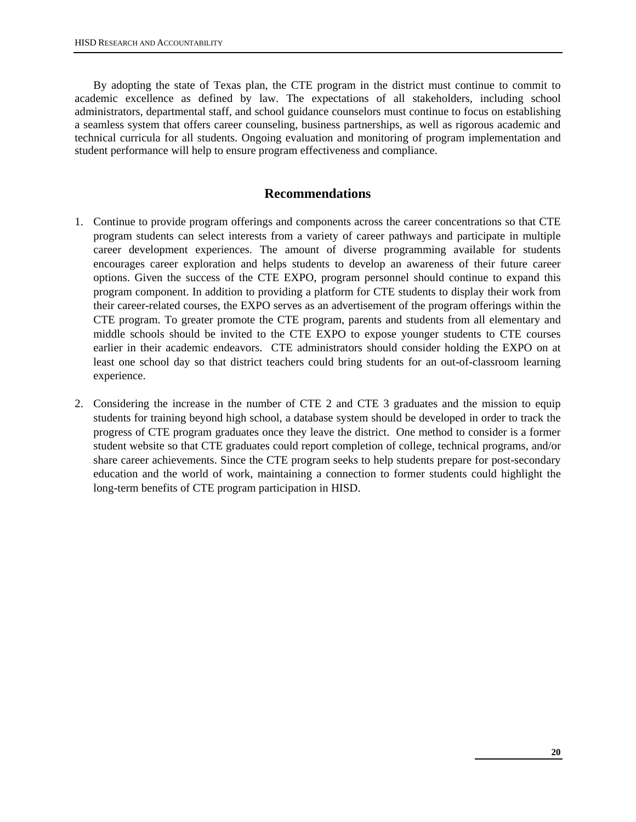By adopting the state of Texas plan, the CTE program in the district must continue to commit to academic excellence as defined by law. The expectations of all stakeholders, including school administrators, departmental staff, and school guidance counselors must continue to focus on establishing a seamless system that offers career counseling, business partnerships, as well as rigorous academic and technical curricula for all students. Ongoing evaluation and monitoring of program implementation and student performance will help to ensure program effectiveness and compliance.

# **Recommendations**

- 1. Continue to provide program offerings and components across the career concentrations so that CTE program students can select interests from a variety of career pathways and participate in multiple career development experiences. The amount of diverse programming available for students encourages career exploration and helps students to develop an awareness of their future career options. Given the success of the CTE EXPO, program personnel should continue to expand this program component. In addition to providing a platform for CTE students to display their work from their career-related courses, the EXPO serves as an advertisement of the program offerings within the CTE program. To greater promote the CTE program, parents and students from all elementary and middle schools should be invited to the CTE EXPO to expose younger students to CTE courses earlier in their academic endeavors. CTE administrators should consider holding the EXPO on at least one school day so that district teachers could bring students for an out-of-classroom learning experience.
- 2. Considering the increase in the number of CTE 2 and CTE 3 graduates and the mission to equip students for training beyond high school, a database system should be developed in order to track the progress of CTE program graduates once they leave the district. One method to consider is a former student website so that CTE graduates could report completion of college, technical programs, and/or share career achievements. Since the CTE program seeks to help students prepare for post-secondary education and the world of work, maintaining a connection to former students could highlight the long-term benefits of CTE program participation in HISD.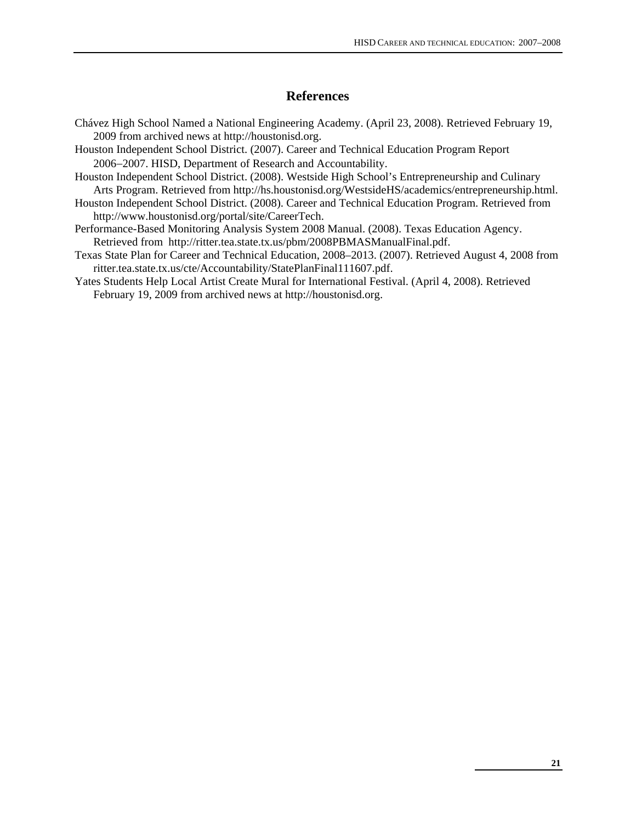# **References**

- Chávez High School Named a National Engineering Academy. (April 23, 2008). Retrieved February 19, 2009 from archived news at http://houstonisd.org.
- Houston Independent School District. (2007). Career and Technical Education Program Report 2006−2007. HISD, Department of Research and Accountability.
- Houston Independent School District. (2008). Westside High School's Entrepreneurship and Culinary Arts Program. Retrieved from http://hs.houstonisd.org/WestsideHS/academics/entrepreneurship.html.
- Houston Independent School District. (2008). Career and Technical Education Program. Retrieved from http://www.houstonisd.org/portal/site/CareerTech.
- Performance-Based Monitoring Analysis System 2008 Manual. (2008). Texas Education Agency. Retrieved from http://ritter.tea.state.tx.us/pbm/2008PBMASManualFinal.pdf.
- Texas State Plan for Career and Technical Education, 2008–2013. (2007). Retrieved August 4, 2008 from ritter.tea.state.tx.us/cte/Accountability/StatePlanFinal111607.pdf.
- Yates Students Help Local Artist Create Mural for International Festival. (April 4, 2008). Retrieved February 19, 2009 from archived news at http://houstonisd.org.